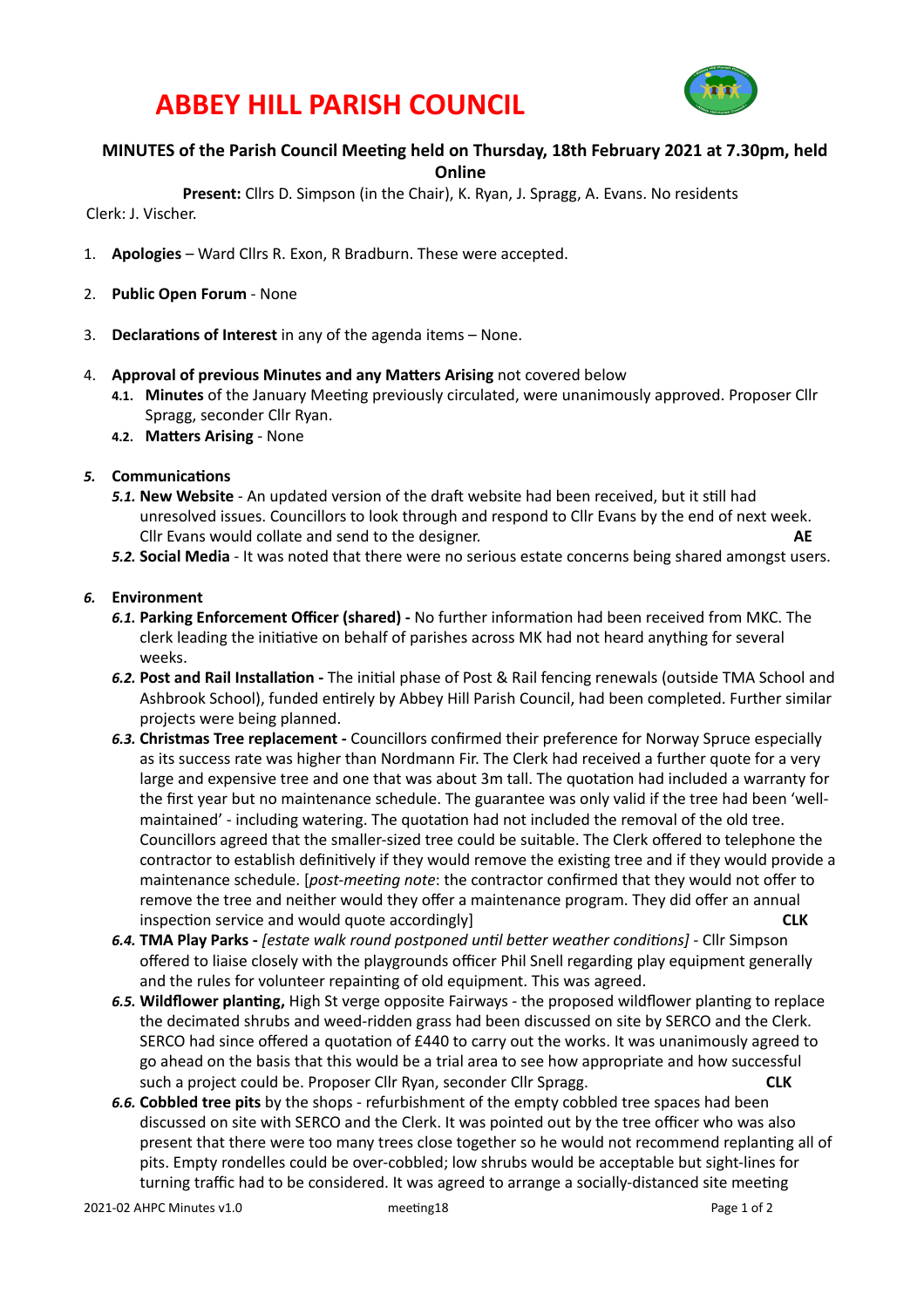# **ABBEY HILL PARISH COUNCIL**



## **MINUTES** of the Parish Council Meeting held on Thursday, 18th February 2021 at 7.30pm, held

**Online** 

**Present:** Cllrs D. Simpson (in the Chair), K. Ryan, J. Spragg, A. Evans. No residents

Clerk: J. Vischer.

- 1. **Apologies** Ward Cllrs R. Exon, R Bradburn. These were accepted.
- 2. **Public Open Forum** None
- 3. **Declarations of Interest** in any of the agenda items None.
- 4. **Approval of previous Minutes and any Matters Arising** not covered below
	- 4.1. Minutes of the January Meeting previously circulated, were unanimously approved. Proposer Cllr Spragg, seconder Cllr Ryan.
	- **4.2. Matters Arising None**

### **5.** Communications

- **5.1. New Website** An updated version of the draft website had been received, but it still had unresolved issues. Councillors to look through and respond to Cllr Evans by the end of next week. Cllr Evans would collate and send to the designer. **AE**
- **5.2. Social Media** It was noted that there were no serious estate concerns being shared amongst users.

### **6.** Environment

- 6.1. Parking Enforcement Officer (shared) No further information had been received from MKC. The clerk leading the initiative on behalf of parishes across MK had not heard anything for several weeks.
- 6.2. Post and Rail Installation The initial phase of Post & Rail fencing renewals (outside TMA School and Ashbrook School), funded entirely by Abbey Hill Parish Council, had been completed. Further similar projects were being planned.
- 6.3. Christmas Tree replacement Councillors confirmed their preference for Norway Spruce especially as its success rate was higher than Nordmann Fir. The Clerk had received a further quote for a very large and expensive tree and one that was about 3m tall. The quotation had included a warranty for the first year but no maintenance schedule. The guarantee was only valid if the tree had been 'wellmaintained' - including watering. The quotation had not included the removal of the old tree. Councillors agreed that the smaller-sized tree could be suitable. The Clerk offered to telephone the contractor to establish definitively if they would remove the existing tree and if they would provide a maintenance schedule. *[post-meeting note*: the contractor confirmed that they would not offer to remove the tree and neither would they offer a maintenance program. They did offer an annual inspection service and would quote accordingly] **According according according according** v and the set of the set of the set of the set of the set of the set of the set of the set of the set of the set of the set of the s
- 6.4. **TMA Play Parks** *[estate walk round postponed until better weather conditions]* Cllr Simpson offered to liaise closely with the playgrounds officer Phil Snell regarding play equipment generally and the rules for volunteer repainting of old equipment. This was agreed.
- 6.5. Wildflower planting, High St verge opposite Fairways the proposed wildflower planting to replace the decimated shrubs and weed-ridden grass had been discussed on site by SERCO and the Clerk. SERCO had since offered a quotation of £440 to carry out the works. It was unanimously agreed to go ahead on the basis that this would be a trial area to see how appropriate and how successful such a project could be. Proposer Cllr Ryan, seconder Cllr Spragg. **CLK**
- **6.6. Cobbled tree pits** by the shops refurbishment of the empty cobbled tree spaces had been discussed on site with SERCO and the Clerk. It was pointed out by the tree officer who was also present that there were too many trees close together so he would not recommend replanting all of pits. Empty rondelles could be over-cobbled; low shrubs would be acceptable but sight-lines for turning traffic had to be considered. It was agreed to arrange a socially-distanced site meeting